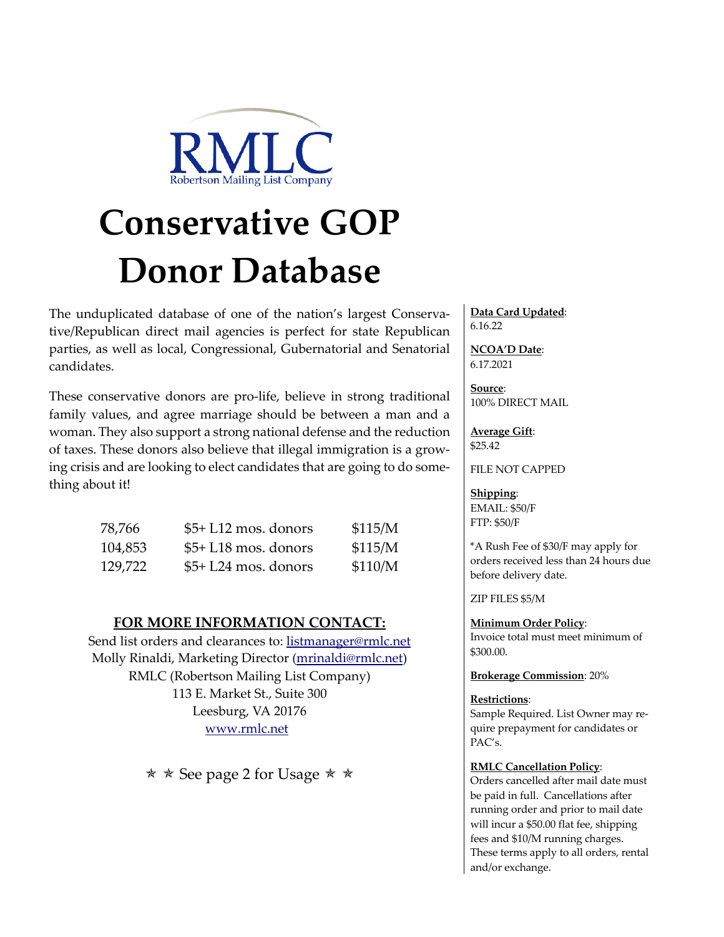

# **Conservative GOP Donor Database**

The unduplicated database of one of the nation's largest Conservative/Republican direct mail agencies is perfect for state Republican parties, as well as local, Congressional, Gubernatorial and Senatorial candidates.

These conservative donors are pro-life, believe in strong traditional family values, and agree marriage should be between a man and a woman. They also support a strong national defense and the reduction of taxes. These donors also believe that illegal immigration is a growing crisis and are looking to elect candidates that are going to do something about it!

| 78,766  | $$5+L12$ mos. donors  | \$115/M |
|---------|-----------------------|---------|
| 104,853 | $$5+L18$ mos. donors  | \$115/M |
| 129,722 | $$5+ L24$ mos. donors | \$110/M |

# **FOR MORE INFORMATION CONTACT:**

Send list orders and clearances to: listmanager@rmlc.net Molly Rinaldi, Marketing Director (mrinaldi@rmlc.net) RMLC (Robertson Mailing List Company) 113 E. Market St., Suite 300 Leesburg, VA 20176 www.rmlc.net

 $\star \star$  See page 2 for Usage  $\star \star$ 

**Data Card Updated**: 6.16.22

**NCOA'D Date**: 6.17.2021

**Source**: 100% DIRECT MAIL

**Average Gift**: \$25.42

FILE NOT CAPPED

## **Shipping**:

EMAIL: \$50/F FTP: \$50/F

\*A Rush Fee of \$30/F may apply for orders received less than 24 hours due before delivery date.

ZIP FILES \$5/M

**Minimum Order Policy**: Invoice total must meet minimum of \$300.00.

**Brokerage Commission**: 20%

#### **Restrictions**:

Sample Required. List Owner may require prepayment for candidates or PAC's.

#### **RMLC Cancellation Policy**:

Orders cancelled after mail date must be paid in full. Cancellations after running order and prior to mail date will incur a \$50.00 flat fee, shipping fees and \$10/M running charges. These terms apply to all orders, rental and/or exchange.